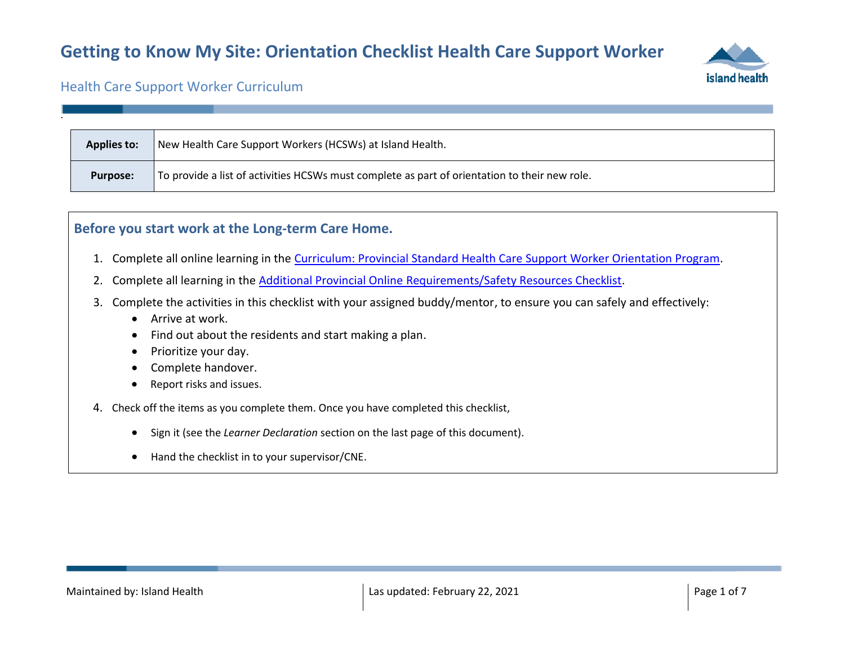

#### Health Care Support Worker Curriculum

.

| <b>Applies to:</b> | New Health Care Support Workers (HCSWs) at Island Health.                                     |
|--------------------|-----------------------------------------------------------------------------------------------|
| <b>Purpose:</b>    | To provide a list of activities HCSWs must complete as part of orientation to their new role. |

#### **Before you start work at the Long-term Care Home.**

- 1. Complete all online learning in the [Curriculum: Provincial Standard Health Care Support Worker Orientation Program.](https://learninghub.phsa.ca/Courses/24230/curriculum-provincial-standard-health-care-support-worker-orientation-program)
- 2. Complete all learning in the [Additional Provincial Online Requirements/Safety Resources Checklist.](https://wiki.cerner.com/download/attachments/2383981392/additional-provincial-online-requirements-safety-resources-checklist.docx?api=v2)
- 3. Complete the activities in this checklist with your assigned buddy/mentor, to ensure you can safely and effectively:
	- Arrive at work.
	- Find out about the residents and start making a plan.
	- Prioritize your day.
	- Complete handover.
	- Report risks and issues.
- 4. Check off the items as you complete them. Once you have completed this checklist,
	- Sign it (see the *Learner Declaration* section on the last page of this document).
	- Hand the checklist in to your supervisor/CNE.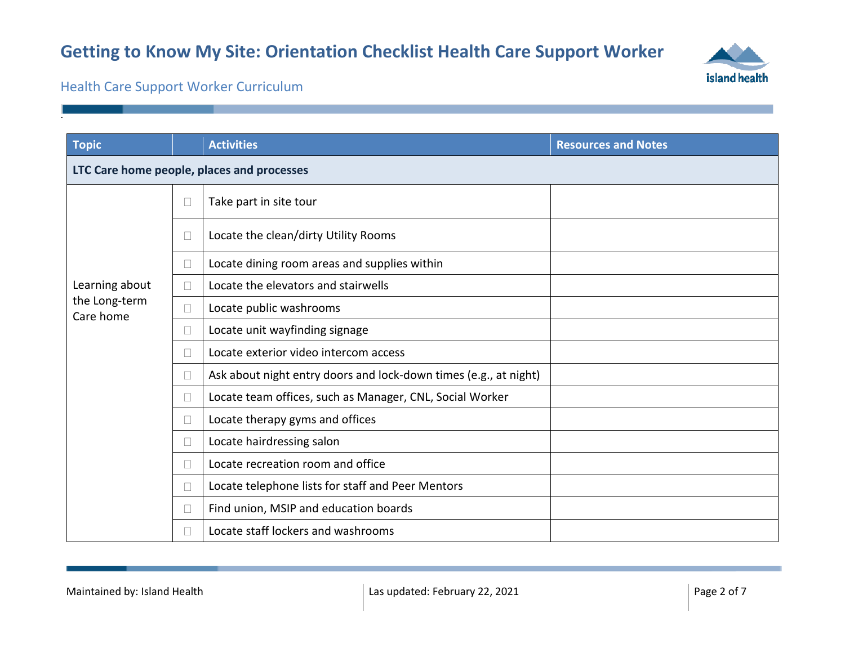

Health Care Support Worker Curriculum

| <b>Topic</b>                               |        | <b>Activities</b>                                                | <b>Resources and Notes</b> |  |
|--------------------------------------------|--------|------------------------------------------------------------------|----------------------------|--|
| LTC Care home people, places and processes |        |                                                                  |                            |  |
|                                            | П      | Take part in site tour                                           |                            |  |
|                                            | $\Box$ | Locate the clean/dirty Utility Rooms                             |                            |  |
|                                            | $\Box$ | Locate dining room areas and supplies within                     |                            |  |
| Learning about                             | $\Box$ | Locate the elevators and stairwells                              |                            |  |
| the Long-term<br>Care home                 |        | Locate public washrooms                                          |                            |  |
|                                            | $\Box$ | Locate unit wayfinding signage                                   |                            |  |
|                                            | $\Box$ | Locate exterior video intercom access                            |                            |  |
|                                            | П      | Ask about night entry doors and lock-down times (e.g., at night) |                            |  |
|                                            | $\Box$ | Locate team offices, such as Manager, CNL, Social Worker         |                            |  |
|                                            | $\Box$ | Locate therapy gyms and offices                                  |                            |  |
|                                            | $\Box$ | Locate hairdressing salon                                        |                            |  |
|                                            | $\Box$ | Locate recreation room and office                                |                            |  |
|                                            | $\Box$ | Locate telephone lists for staff and Peer Mentors                |                            |  |
|                                            |        | Find union, MSIP and education boards                            |                            |  |
|                                            |        | Locate staff lockers and washrooms                               |                            |  |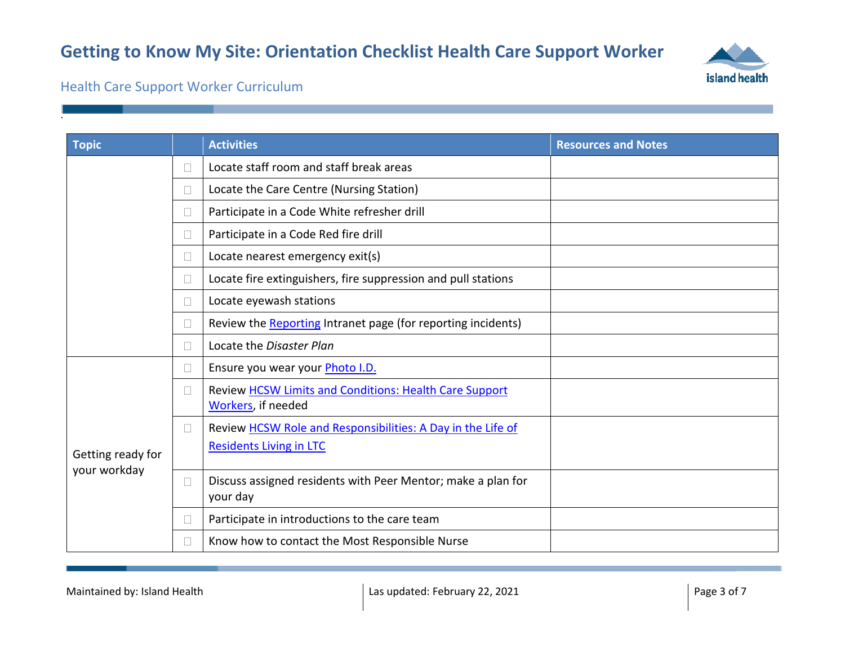

### Health Care Support Worker Curriculum

| <b>Topic</b>      |        | <b>Activities</b>                                                            | <b>Resources and Notes</b> |
|-------------------|--------|------------------------------------------------------------------------------|----------------------------|
|                   | П      | Locate staff room and staff break areas                                      |                            |
|                   | $\Box$ | Locate the Care Centre (Nursing Station)                                     |                            |
|                   | П      | Participate in a Code White refresher drill                                  |                            |
|                   | П      | Participate in a Code Red fire drill                                         |                            |
|                   | $\Box$ | Locate nearest emergency exit(s)                                             |                            |
|                   | $\Box$ | Locate fire extinguishers, fire suppression and pull stations                |                            |
|                   | $\Box$ | Locate eyewash stations                                                      |                            |
|                   | П      | Review the Reporting Intranet page (for reporting incidents)                 |                            |
|                   | $\Box$ | Locate the Disaster Plan                                                     |                            |
|                   | $\Box$ | Ensure you wear your <i>Photo I.D.</i>                                       |                            |
|                   | $\Box$ | Review HCSW Limits and Conditions: Health Care Support<br>Workers, if needed |                            |
|                   | $\Box$ | Review HCSW Role and Responsibilities: A Day in the Life of                  |                            |
| Getting ready for |        | <b>Residents Living in LTC</b>                                               |                            |
| your workday      | $\Box$ | Discuss assigned residents with Peer Mentor; make a plan for<br>your day     |                            |
|                   | $\Box$ | Participate in introductions to the care team                                |                            |
|                   | $\Box$ | Know how to contact the Most Responsible Nurse                               |                            |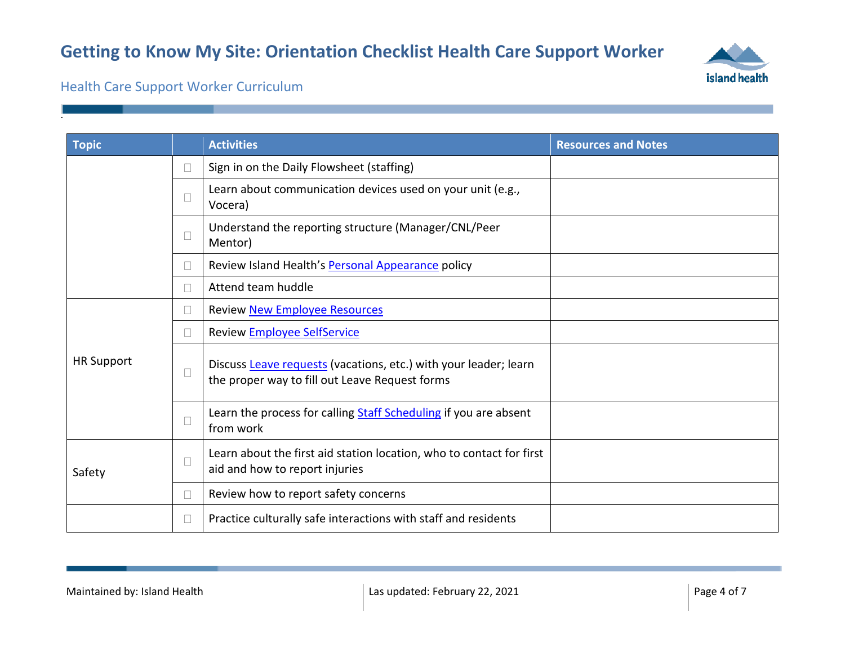

### Health Care Support Worker Curriculum

| <b>Topic</b>      |        | <b>Activities</b>                                                                                                  | <b>Resources and Notes</b> |
|-------------------|--------|--------------------------------------------------------------------------------------------------------------------|----------------------------|
|                   | $\Box$ | Sign in on the Daily Flowsheet (staffing)                                                                          |                            |
|                   | $\Box$ | Learn about communication devices used on your unit (e.g.,<br>Vocera)                                              |                            |
|                   | П      | Understand the reporting structure (Manager/CNL/Peer<br>Mentor)                                                    |                            |
|                   |        | Review Island Health's Personal Appearance policy                                                                  |                            |
|                   | $\Box$ | Attend team huddle                                                                                                 |                            |
|                   | $\Box$ | Review New Employee Resources                                                                                      |                            |
| <b>HR Support</b> |        | Review <b>Employee SelfService</b>                                                                                 |                            |
|                   | $\Box$ | Discuss Leave requests (vacations, etc.) with your leader; learn<br>the proper way to fill out Leave Request forms |                            |
|                   | П      | Learn the process for calling Staff Scheduling if you are absent<br>from work                                      |                            |
| Safety            | $\Box$ | Learn about the first aid station location, who to contact for first<br>aid and how to report injuries             |                            |
|                   | П      | Review how to report safety concerns                                                                               |                            |
|                   | $\Box$ | Practice culturally safe interactions with staff and residents                                                     |                            |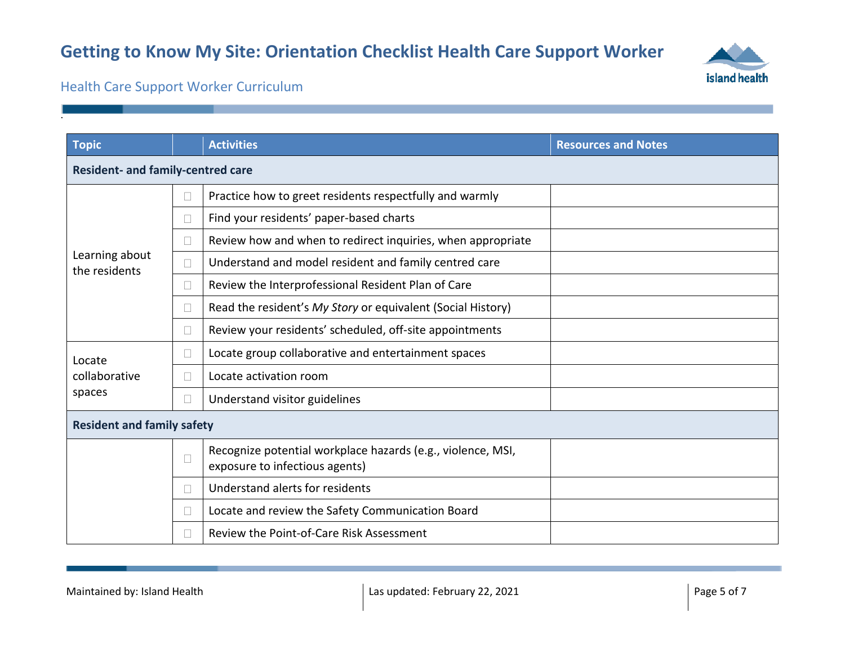

Health Care Support Worker Curriculum

| <b>Topic</b>                      |        | <b>Activities</b>                                                                             | <b>Resources and Notes</b> |  |
|-----------------------------------|--------|-----------------------------------------------------------------------------------------------|----------------------------|--|
| Resident- and family-centred care |        |                                                                                               |                            |  |
|                                   | $\Box$ | Practice how to greet residents respectfully and warmly                                       |                            |  |
|                                   | □      | Find your residents' paper-based charts                                                       |                            |  |
| Learning about<br>the residents   | $\Box$ | Review how and when to redirect inquiries, when appropriate                                   |                            |  |
|                                   | $\Box$ | Understand and model resident and family centred care                                         |                            |  |
|                                   | П      | Review the Interprofessional Resident Plan of Care                                            |                            |  |
|                                   | П      | Read the resident's My Story or equivalent (Social History)                                   |                            |  |
|                                   | $\Box$ | Review your residents' scheduled, off-site appointments                                       |                            |  |
| Locate                            | $\Box$ | Locate group collaborative and entertainment spaces                                           |                            |  |
| collaborative                     | П      | Locate activation room                                                                        |                            |  |
| spaces                            | $\Box$ | Understand visitor guidelines                                                                 |                            |  |
| <b>Resident and family safety</b> |        |                                                                                               |                            |  |
|                                   | $\Box$ | Recognize potential workplace hazards (e.g., violence, MSI,<br>exposure to infectious agents) |                            |  |
|                                   | П      | Understand alerts for residents                                                               |                            |  |
|                                   | □      | Locate and review the Safety Communication Board                                              |                            |  |
|                                   | П      | Review the Point-of-Care Risk Assessment                                                      |                            |  |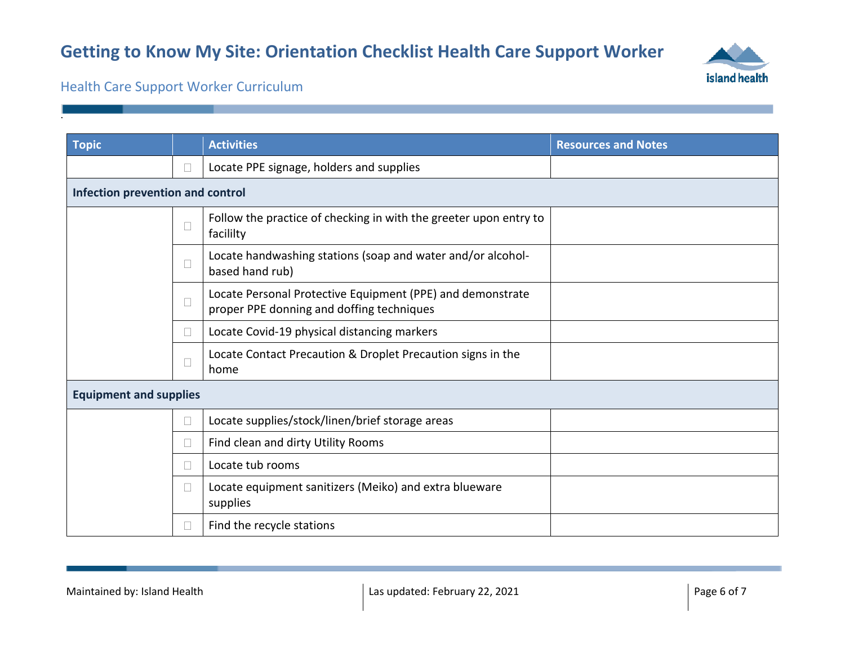

### Health Care Support Worker Curriculum

| <b>Topic</b>                  |                                  | <b>Activities</b>                                                                                       | <b>Resources and Notes</b> |  |
|-------------------------------|----------------------------------|---------------------------------------------------------------------------------------------------------|----------------------------|--|
|                               | $\Box$                           | Locate PPE signage, holders and supplies                                                                |                            |  |
|                               | Infection prevention and control |                                                                                                         |                            |  |
|                               | $\Box$                           | Follow the practice of checking in with the greeter upon entry to<br>facililty                          |                            |  |
|                               | $\Box$                           | Locate handwashing stations (soap and water and/or alcohol-<br>based hand rub)                          |                            |  |
|                               | $\Box$                           | Locate Personal Protective Equipment (PPE) and demonstrate<br>proper PPE donning and doffing techniques |                            |  |
|                               | $\Box$                           | Locate Covid-19 physical distancing markers                                                             |                            |  |
|                               | $\Box$                           | Locate Contact Precaution & Droplet Precaution signs in the<br>home                                     |                            |  |
| <b>Equipment and supplies</b> |                                  |                                                                                                         |                            |  |
|                               | $\Box$                           | Locate supplies/stock/linen/brief storage areas                                                         |                            |  |
|                               | $\Box$                           | Find clean and dirty Utility Rooms                                                                      |                            |  |
|                               | $\Box$                           | Locate tub rooms                                                                                        |                            |  |
|                               | $\Box$                           | Locate equipment sanitizers (Meiko) and extra blueware<br>supplies                                      |                            |  |
|                               | $\Box$                           | Find the recycle stations                                                                               |                            |  |